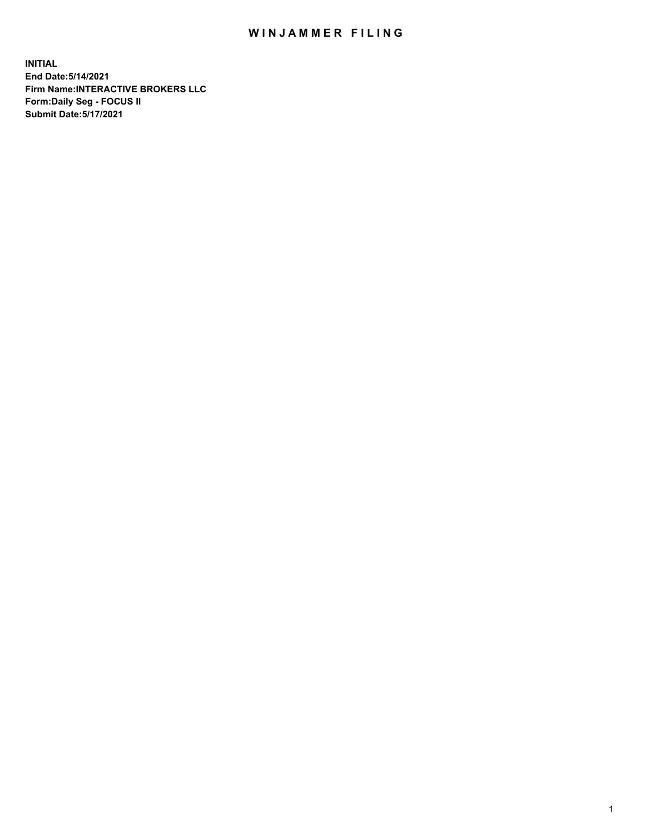## WIN JAMMER FILING

**INITIAL End Date:5/14/2021 Firm Name:INTERACTIVE BROKERS LLC Form:Daily Seg - FOCUS II Submit Date:5/17/2021**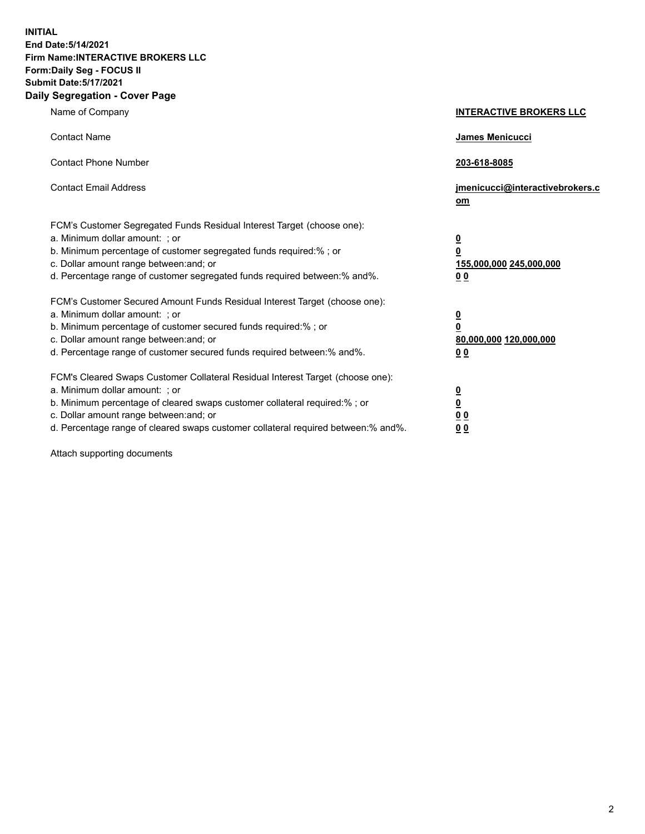**INITIAL End Date:5/14/2021 Firm Name:INTERACTIVE BROKERS LLC Form:Daily Seg - FOCUS II Submit Date:5/17/2021 Daily Segregation - Cover Page**

| Name of Company                                                                                                                                                                                                                                                                                                                | <b>INTERACTIVE BROKERS LLC</b>                                                                  |  |
|--------------------------------------------------------------------------------------------------------------------------------------------------------------------------------------------------------------------------------------------------------------------------------------------------------------------------------|-------------------------------------------------------------------------------------------------|--|
| <b>Contact Name</b>                                                                                                                                                                                                                                                                                                            | James Menicucci                                                                                 |  |
| <b>Contact Phone Number</b>                                                                                                                                                                                                                                                                                                    | 203-618-8085                                                                                    |  |
| <b>Contact Email Address</b>                                                                                                                                                                                                                                                                                                   | jmenicucci@interactivebrokers.c<br>om                                                           |  |
| FCM's Customer Segregated Funds Residual Interest Target (choose one):<br>a. Minimum dollar amount: ; or<br>b. Minimum percentage of customer segregated funds required:% ; or<br>c. Dollar amount range between: and; or<br>d. Percentage range of customer segregated funds required between:% and%.                         | $\overline{\mathbf{0}}$<br>$\overline{\mathbf{0}}$<br>155,000,000 245,000,000<br>0 <sub>0</sub> |  |
| FCM's Customer Secured Amount Funds Residual Interest Target (choose one):<br>a. Minimum dollar amount: ; or<br>b. Minimum percentage of customer secured funds required:% ; or<br>c. Dollar amount range between: and; or<br>d. Percentage range of customer secured funds required between:% and%.                           | $\overline{\mathbf{0}}$<br>0<br>80,000,000 120,000,000<br>0 <sub>0</sub>                        |  |
| FCM's Cleared Swaps Customer Collateral Residual Interest Target (choose one):<br>a. Minimum dollar amount: ; or<br>b. Minimum percentage of cleared swaps customer collateral required:% ; or<br>c. Dollar amount range between: and; or<br>d. Percentage range of cleared swaps customer collateral required between:% and%. | $\overline{\mathbf{0}}$<br><u>0</u><br>$\underline{0}$ $\underline{0}$<br>00                    |  |

Attach supporting documents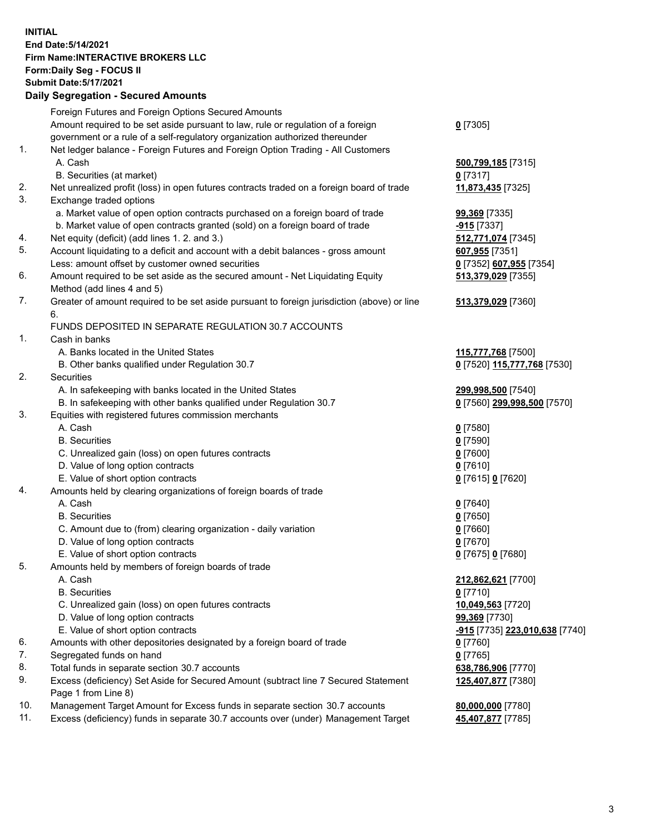**INITIAL End Date:5/14/2021 Firm Name:INTERACTIVE BROKERS LLC Form:Daily Seg - FOCUS II Submit Date:5/17/2021 Daily Segregation - Secured Amounts**

## Foreign Futures and Foreign Options Secured Amounts Amount required to be set aside pursuant to law, rule or regulation of a foreign government or a rule of a self-regulatory organization authorized thereunder **0** [7305] 1. Net ledger balance - Foreign Futures and Foreign Option Trading - All Customers A. Cash **500,799,185** [7315] B. Securities (at market) **0** [7317] 2. Net unrealized profit (loss) in open futures contracts traded on a foreign board of trade **11,873,435** [7325] 3. Exchange traded options a. Market value of open option contracts purchased on a foreign board of trade **99,369** [7335] b. Market value of open contracts granted (sold) on a foreign board of trade **-915** [7337] 4. Net equity (deficit) (add lines 1. 2. and 3.) **512,771,074** [7345] 5. Account liquidating to a deficit and account with a debit balances - gross amount **607,955** [7351] Less: amount offset by customer owned securities **0** [7352] **607,955** [7354] 6. Amount required to be set aside as the secured amount - Net Liquidating Equity Method (add lines 4 and 5) **513,379,029** [7355] 7. Greater of amount required to be set aside pursuant to foreign jurisdiction (above) or line 6. **513,379,029** [7360] FUNDS DEPOSITED IN SEPARATE REGULATION 30.7 ACCOUNTS 1. Cash in banks A. Banks located in the United States **115,777,768** [7500] B. Other banks qualified under Regulation 30.7 **0** [7520] **115,777,768** [7530] 2. Securities A. In safekeeping with banks located in the United States **299,998,500** [7540] B. In safekeeping with other banks qualified under Regulation 30.7 **0** [7560] **299,998,500** [7570] 3. Equities with registered futures commission merchants A. Cash **0** [7580] B. Securities **0** [7590] C. Unrealized gain (loss) on open futures contracts **0** [7600] D. Value of long option contracts **0** [7610] E. Value of short option contracts **0** [7615] **0** [7620] 4. Amounts held by clearing organizations of foreign boards of trade A. Cash **0** [7640] B. Securities **0** [7650] C. Amount due to (from) clearing organization - daily variation **0** [7660] D. Value of long option contracts **0** [7670] E. Value of short option contracts **0** [7675] **0** [7680] 5. Amounts held by members of foreign boards of trade A. Cash **212,862,621** [7700] B. Securities **0** [7710] C. Unrealized gain (loss) on open futures contracts **10,049,563** [7720] D. Value of long option contracts **99,369** [7730] E. Value of short option contracts **-915** [7735] **223,010,638** [7740] 6. Amounts with other depositories designated by a foreign board of trade **0** [7760] 7. Segregated funds on hand **0** [7765] 8. Total funds in separate section 30.7 accounts **638,786,906** [7770] 9. Excess (deficiency) Set Aside for Secured Amount (subtract line 7 Secured Statement Page 1 from Line 8) **125,407,877** [7380] 10. Management Target Amount for Excess funds in separate section 30.7 accounts **80,000,000** [7780] 11. Excess (deficiency) funds in separate 30.7 accounts over (under) Management Target **45,407,877** [7785]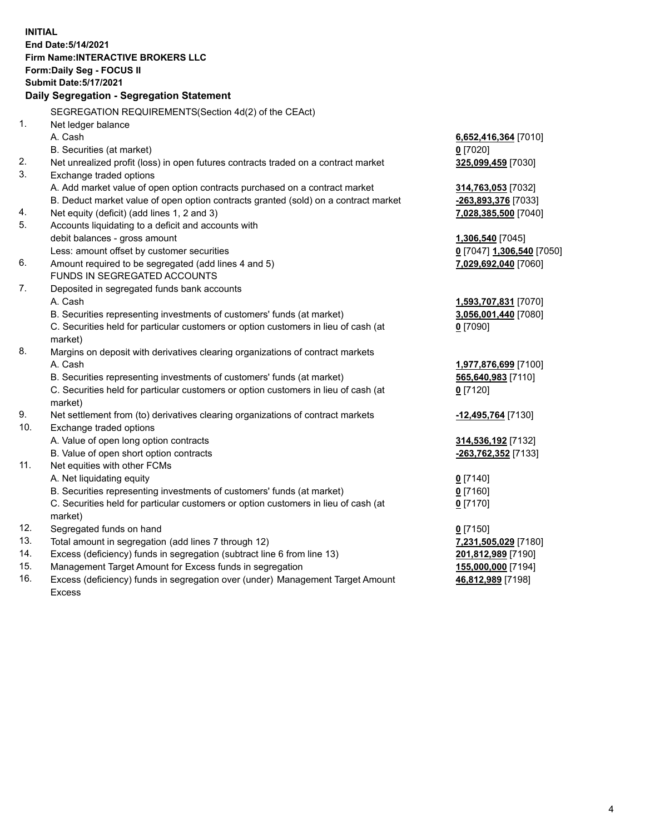**INITIAL End Date:5/14/2021 Firm Name:INTERACTIVE BROKERS LLC Form:Daily Seg - FOCUS II Submit Date:5/17/2021 Daily Segregation - Segregation Statement** SEGREGATION REQUIREMENTS(Section 4d(2) of the CEAct) 1. Net ledger balance A. Cash **6,652,416,364** [7010] B. Securities (at market) **0** [7020] 2. Net unrealized profit (loss) in open futures contracts traded on a contract market **325,099,459** [7030] 3. Exchange traded options A. Add market value of open option contracts purchased on a contract market **314,763,053** [7032] B. Deduct market value of open option contracts granted (sold) on a contract market **-263,893,376** [7033] 4. Net equity (deficit) (add lines 1, 2 and 3) **7,028,385,500** [7040] 5. Accounts liquidating to a deficit and accounts with debit balances - gross amount **1,306,540** [7045] Less: amount offset by customer securities **0** [7047] **1,306,540** [7050] 6. Amount required to be segregated (add lines 4 and 5) **7,029,692,040** [7060] FUNDS IN SEGREGATED ACCOUNTS 7. Deposited in segregated funds bank accounts A. Cash **1,593,707,831** [7070] B. Securities representing investments of customers' funds (at market) **3,056,001,440** [7080] C. Securities held for particular customers or option customers in lieu of cash (at market) **0** [7090] 8. Margins on deposit with derivatives clearing organizations of contract markets A. Cash **1,977,876,699** [7100] B. Securities representing investments of customers' funds (at market) **565,640,983** [7110] C. Securities held for particular customers or option customers in lieu of cash (at market) **0** [7120] 9. Net settlement from (to) derivatives clearing organizations of contract markets **-12,495,764** [7130] 10. Exchange traded options A. Value of open long option contracts **314,536,192** [7132] B. Value of open short option contracts **-263,762,352** [7133] 11. Net equities with other FCMs A. Net liquidating equity **0** [7140] B. Securities representing investments of customers' funds (at market) **0** [7160] C. Securities held for particular customers or option customers in lieu of cash (at market) **0** [7170] 12. Segregated funds on hand **0** [7150] 13. Total amount in segregation (add lines 7 through 12) **7,231,505,029** [7180] 14. Excess (deficiency) funds in segregation (subtract line 6 from line 13) **201,812,989** [7190] 15. Management Target Amount for Excess funds in segregation **155,000,000** [7194] 16. Excess (deficiency) funds in segregation over (under) Management Target Amount **46,812,989** [7198]

Excess